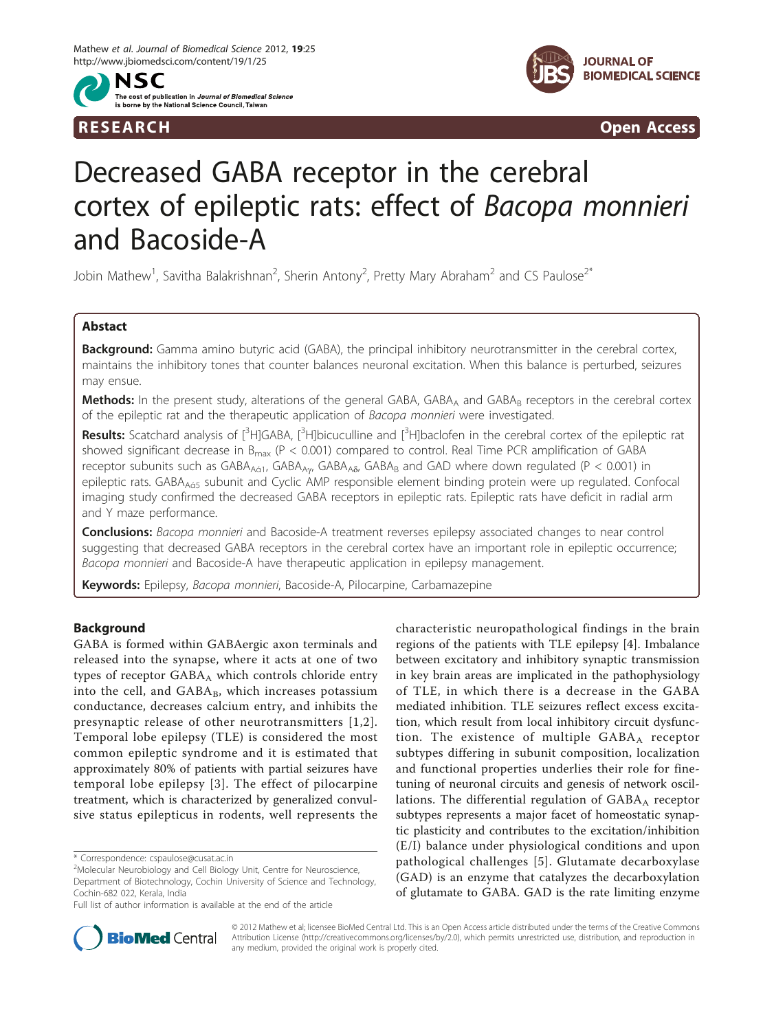



R E S EARCH Open Access

# Decreased GABA receptor in the cerebral cortex of epileptic rats: effect of Bacopa monnieri and Bacoside-A

Jobin Mathew<sup>1</sup>, Savitha Balakrishnan<sup>2</sup>, Sherin Antony<sup>2</sup>, Pretty Mary Abraham<sup>2</sup> and CS Paulose<sup>2\*</sup>

# Abstact

Background: Gamma amino butyric acid (GABA), the principal inhibitory neurotransmitter in the cerebral cortex, maintains the inhibitory tones that counter balances neuronal excitation. When this balance is perturbed, seizures may ensue.

Methods: In the present study, alterations of the general GABA, GABA<sub>A</sub> and GABA<sub>B</sub> receptors in the cerebral cortex of the epileptic rat and the therapeutic application of Bacopa monnieri were investigated.

Results: Scatchard analysis of [<sup>3</sup>H]GABA, [<sup>3</sup>H]bicuculline and [<sup>3</sup>H]baclofen in the cerebral cortex of the epileptic rat showed significant decrease in  $B_{\text{max}}$  (P < 0.001) compared to control. Real Time PCR amplification of GABA receptor subunits such as  $GABA_{A61}$ ,  $GABA_{A\alpha}$ ,  $GABA_{A\delta}$ ,  $GABA_B$  and GAD where down regulated (P < 0.001) in epileptic rats. GABA<sub>Aá5</sub> subunit and Cyclic AMP responsible element binding protein were up regulated. Confocal imaging study confirmed the decreased GABA receptors in epileptic rats. Epileptic rats have deficit in radial arm and Y maze performance.

Conclusions: Bacopa monnieri and Bacoside-A treatment reverses epilepsy associated changes to near control suggesting that decreased GABA receptors in the cerebral cortex have an important role in epileptic occurrence; Bacopa monnieri and Bacoside-A have therapeutic application in epilepsy management.

Keywords: Epilepsy, Bacopa monnieri, Bacoside-A, Pilocarpine, Carbamazepine

# Background

GABA is formed within GABAergic axon terminals and released into the synapse, where it acts at one of two types of receptor  $GABA_A$  which controls chloride entry into the cell, and  $GABA_B$ , which increases potassium conductance, decreases calcium entry, and inhibits the presynaptic release of other neurotransmitters [[1](#page-11-0),[2\]](#page-11-0). Temporal lobe epilepsy (TLE) is considered the most common epileptic syndrome and it is estimated that approximately 80% of patients with partial seizures have temporal lobe epilepsy [[3](#page-11-0)]. The effect of pilocarpine treatment, which is characterized by generalized convulsive status epilepticus in rodents, well represents the

characteristic neuropathological findings in the brain regions of the patients with TLE epilepsy [[4\]](#page-11-0). Imbalance between excitatory and inhibitory synaptic transmission in key brain areas are implicated in the pathophysiology of TLE, in which there is a decrease in the GABA mediated inhibition. TLE seizures reflect excess excitation, which result from local inhibitory circuit dysfunction. The existence of multiple  $GABA_A$  receptor subtypes differing in subunit composition, localization and functional properties underlies their role for finetuning of neuronal circuits and genesis of network oscillations. The differential regulation of  $GABA_A$  receptor subtypes represents a major facet of homeostatic synaptic plasticity and contributes to the excitation/inhibition (E/I) balance under physiological conditions and upon pathological challenges [[5](#page-11-0)]. Glutamate decarboxylase (GAD) is an enzyme that catalyzes the decarboxylation of glutamate to GABA. GAD is the rate limiting enzyme



© 2012 Mathew et al; licensee BioMed Central Ltd. This is an Open Access article distributed under the terms of the Creative Commons Attribution License [\(http://creativecommons.org/licenses/by/2.0](http://creativecommons.org/licenses/by/2.0)), which permits unrestricted use, distribution, and reproduction in any medium, provided the original work is properly cited.

<sup>\*</sup> Correspondence: [cspaulose@cusat.ac.in](mailto:cspaulose@cusat.ac.in)

<sup>&</sup>lt;sup>2</sup>Molecular Neurobiology and Cell Biology Unit, Centre for Neuroscience, Department of Biotechnology, Cochin University of Science and Technology, Cochin-682 022, Kerala, India

Full list of author information is available at the end of the article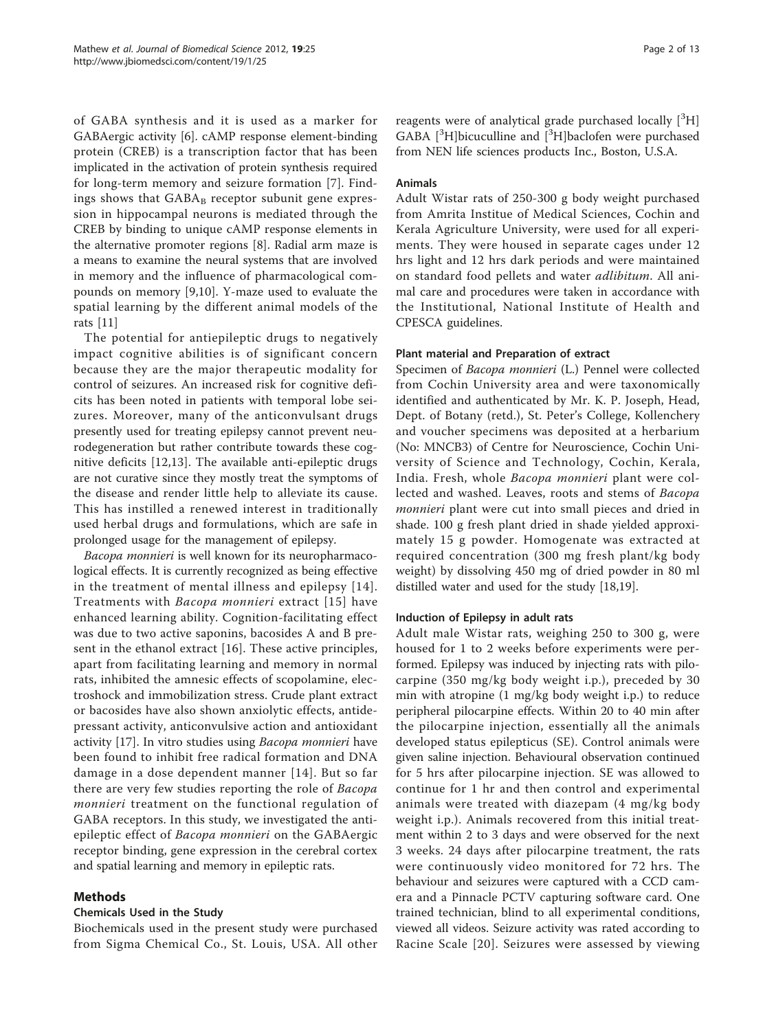of GABA synthesis and it is used as a marker for GABAergic activity [\[6\]](#page-11-0). cAMP response element-binding protein (CREB) is a transcription factor that has been implicated in the activation of protein synthesis required for long-term memory and seizure formation [\[7](#page-11-0)]. Findings shows that  $GABA_B$  receptor subunit gene expression in hippocampal neurons is mediated through the CREB by binding to unique cAMP response elements in the alternative promoter regions [[8\]](#page-11-0). Radial arm maze is a means to examine the neural systems that are involved in memory and the influence of pharmacological compounds on memory [[9,10\]](#page-11-0). Y-maze used to evaluate the spatial learning by the different animal models of the rats [\[11\]](#page-11-0)

The potential for antiepileptic drugs to negatively impact cognitive abilities is of significant concern because they are the major therapeutic modality for control of seizures. An increased risk for cognitive deficits has been noted in patients with temporal lobe seizures. Moreover, many of the anticonvulsant drugs presently used for treating epilepsy cannot prevent neurodegeneration but rather contribute towards these cognitive deficits [\[12](#page-11-0),[13\]](#page-11-0). The available anti-epileptic drugs are not curative since they mostly treat the symptoms of the disease and render little help to alleviate its cause. This has instilled a renewed interest in traditionally used herbal drugs and formulations, which are safe in prolonged usage for the management of epilepsy.

Bacopa monnieri is well known for its neuropharmacological effects. It is currently recognized as being effective in the treatment of mental illness and epilepsy [[14\]](#page-11-0). Treatments with Bacopa monnieri extract [[15\]](#page-11-0) have enhanced learning ability. Cognition-facilitating effect was due to two active saponins, bacosides A and B present in the ethanol extract [[16\]](#page-11-0). These active principles, apart from facilitating learning and memory in normal rats, inhibited the amnesic effects of scopolamine, electroshock and immobilization stress. Crude plant extract or bacosides have also shown anxiolytic effects, antidepressant activity, anticonvulsive action and antioxidant activity [[17\]](#page-11-0). In vitro studies using Bacopa monnieri have been found to inhibit free radical formation and DNA damage in a dose dependent manner [[14\]](#page-11-0). But so far there are very few studies reporting the role of Bacopa monnieri treatment on the functional regulation of GABA receptors. In this study, we investigated the antiepileptic effect of Bacopa monnieri on the GABAergic receptor binding, gene expression in the cerebral cortex and spatial learning and memory in epileptic rats.

# Methods

# Chemicals Used in the Study

Biochemicals used in the present study were purchased from Sigma Chemical Co., St. Louis, USA. All other

reagents were of analytical grade purchased locally [3H] GABA  $[{}^{3}H]$ bicuculline and  $[{}^{3}H]$ baclofen were purchased from NEN life sciences products Inc., Boston, U.S.A.

# Animals

Adult Wistar rats of 250-300 g body weight purchased from Amrita Institue of Medical Sciences, Cochin and Kerala Agriculture University, were used for all experiments. They were housed in separate cages under 12 hrs light and 12 hrs dark periods and were maintained on standard food pellets and water *adlibitum*. All animal care and procedures were taken in accordance with the Institutional, National Institute of Health and CPESCA guidelines.

# Plant material and Preparation of extract

Specimen of Bacopa monnieri (L.) Pennel were collected from Cochin University area and were taxonomically identified and authenticated by Mr. K. P. Joseph, Head, Dept. of Botany (retd.), St. Peter's College, Kollenchery and voucher specimens was deposited at a herbarium (No: MNCB3) of Centre for Neuroscience, Cochin University of Science and Technology, Cochin, Kerala, India. Fresh, whole Bacopa monnieri plant were collected and washed. Leaves, roots and stems of Bacopa monnieri plant were cut into small pieces and dried in shade. 100 g fresh plant dried in shade yielded approximately 15 g powder. Homogenate was extracted at required concentration (300 mg fresh plant/kg body weight) by dissolving 450 mg of dried powder in 80 ml distilled water and used for the study [[18,19](#page-11-0)].

# Induction of Epilepsy in adult rats

Adult male Wistar rats, weighing 250 to 300 g, were housed for 1 to 2 weeks before experiments were performed. Epilepsy was induced by injecting rats with pilocarpine (350 mg/kg body weight i.p.), preceded by 30 min with atropine (1 mg/kg body weight i.p.) to reduce peripheral pilocarpine effects. Within 20 to 40 min after the pilocarpine injection, essentially all the animals developed status epilepticus (SE). Control animals were given saline injection. Behavioural observation continued for 5 hrs after pilocarpine injection. SE was allowed to continue for 1 hr and then control and experimental animals were treated with diazepam (4 mg/kg body weight i.p.). Animals recovered from this initial treatment within 2 to 3 days and were observed for the next 3 weeks. 24 days after pilocarpine treatment, the rats were continuously video monitored for 72 hrs. The behaviour and seizures were captured with a CCD camera and a Pinnacle PCTV capturing software card. One trained technician, blind to all experimental conditions, viewed all videos. Seizure activity was rated according to Racine Scale [[20\]](#page-11-0). Seizures were assessed by viewing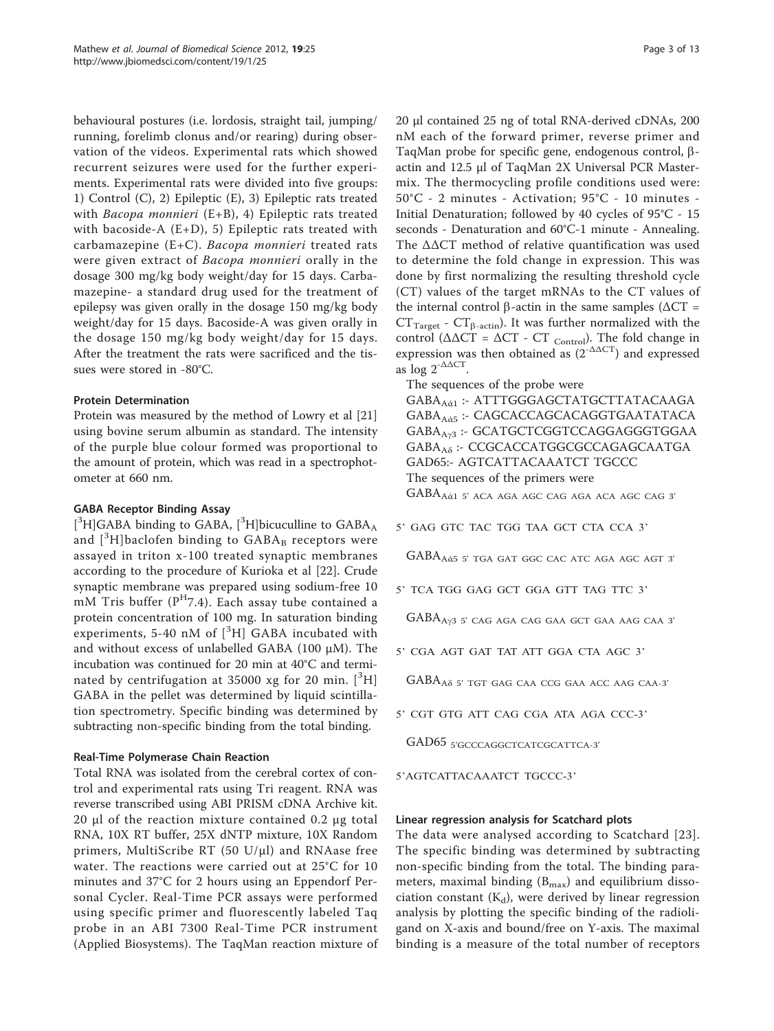behavioural postures (i.e. lordosis, straight tail, jumping/ running, forelimb clonus and/or rearing) during observation of the videos. Experimental rats which showed recurrent seizures were used for the further experiments. Experimental rats were divided into five groups: 1) Control (C), 2) Epileptic (E), 3) Epileptic rats treated with *Bacopa monnieri* (E+B), 4) Epileptic rats treated with bacoside-A  $(E+D)$ , 5) Epileptic rats treated with carbamazepine (E+C). Bacopa monnieri treated rats were given extract of Bacopa monnieri orally in the dosage 300 mg/kg body weight/day for 15 days. Carbamazepine- a standard drug used for the treatment of epilepsy was given orally in the dosage 150 mg/kg body weight/day for 15 days. Bacoside-A was given orally in the dosage 150 mg/kg body weight/day for 15 days. After the treatment the rats were sacrificed and the tissues were stored in -80°C.

## Protein Determination

Protein was measured by the method of Lowry et al [[21](#page-11-0)] using bovine serum albumin as standard. The intensity of the purple blue colour formed was proportional to the amount of protein, which was read in a spectrophotometer at 660 nm.

# GABA Receptor Binding Assay

 $[^3H]$ GABA binding to GABA,  $[^3H]$ bicuculline to GABA<sub>A</sub> and  $[^3\mathrm{H}]$ baclofen binding to  $\mathrm{GABA_B}$  receptors were assayed in triton x-100 treated synaptic membranes according to the procedure of Kurioka et al [\[22](#page-11-0)]. Crude synaptic membrane was prepared using sodium-free 10 mM Tris buffer  $(P^{H}7.4)$ . Each assay tube contained a protein concentration of 100 mg. In saturation binding experiments, 5-40 nM of [<sup>3</sup>H] GABA incubated with and without excess of unlabelled GABA (100 μM). The incubation was continued for 20 min at 40°C and terminated by centrifugation at 35000 xg for 20 min.  $[^3H]$ GABA in the pellet was determined by liquid scintillation spectrometry. Specific binding was determined by subtracting non-specific binding from the total binding.

# Real-Time Polymerase Chain Reaction

Total RNA was isolated from the cerebral cortex of control and experimental rats using Tri reagent. RNA was reverse transcribed using ABI PRISM cDNA Archive kit. 20 μl of the reaction mixture contained 0.2 μg total RNA, 10X RT buffer, 25X dNTP mixture, 10X Random primers, MultiScribe RT (50 U/ $\mu$ l) and RNAase free water. The reactions were carried out at 25°C for 10 minutes and 37°C for 2 hours using an Eppendorf Personal Cycler. Real-Time PCR assays were performed using specific primer and fluorescently labeled Taq probe in an ABI 7300 Real-Time PCR instrument (Applied Biosystems). The TaqMan reaction mixture of 20 μl contained 25 ng of total RNA-derived cDNAs, 200 nM each of the forward primer, reverse primer and TaqMan probe for specific gene, endogenous control, bactin and 12.5 μl of TaqMan 2X Universal PCR Mastermix. The thermocycling profile conditions used were: 50°C - 2 minutes - Activation; 95°C - 10 minutes - Initial Denaturation; followed by 40 cycles of 95°C - 15 seconds - Denaturation and 60°C-1 minute - Annealing. The ΔΔCT method of relative quantification was used to determine the fold change in expression. This was done by first normalizing the resulting threshold cycle (CT) values of the target mRNAs to the CT values of the internal control β-actin in the same samples ( $ΔCT =$  $CT_{Target}$  -  $CT_{\beta\text{-actin}}$ ). It was further normalized with the control ( $Δ\Delta CT = ΔCT - CT$  control). The fold change in expression was then obtained as  $(2^{-\Delta\Delta CT})$  and expressed as  $\log 2^{-\Delta\Delta CT}$ .

The sequences of the probe were

GABA<sub>Aά1</sub> :- ATTTGGGAGCTATGCTTATACAAGA GABA<sub>Aά5</sub> :- CAGCACCAGCACAGGTGAATATACA GABA<sub>Ay3</sub> :- GCATGCTCGGTCCAGGAGGGTGGAA GABA<sub>Aδ</sub> :- CCGCACCATGGCGCCAGAGCAATGA GAD65:- AGTCATTACAAATCT TGCCC The sequences of the primers were GABA<sub>Aά1</sub> 5' aca aga agc cag aga aca agc cag 3'

5' GAG GTC TAC TGG TAA GCT CTA CCA 3'

GABA<sub>Aά5</sub> 5' TGA GAT GGC CAC ATC AGA AGC AGT 3'

5' TCA TGG GAG GCT GGA GTT TAG TTC 3'

GABAAg3 5' CAG AGA CAG GAA GCT GAA AAG CAA 3'

5' CGA AGT GAT TAT ATT GGA CTA AGC 3'

GABA<sub>A</sub><sup>5</sup> TGT GAG CAA CCG GAA ACC AAG CAA-3'

5' CGT GTG ATT CAG CGA ATA AGA CCC-3'

GAD65 5'GCCCAGGCTCATCGCATTCA-3'

5'AGTCATTACAAATCT TGCCC-3'

## Linear regression analysis for Scatchard plots

The data were analysed according to Scatchard [\[23\]](#page-11-0). The specific binding was determined by subtracting non-specific binding from the total. The binding parameters, maximal binding  $(B_{\text{max}})$  and equilibrium dissociation constant  $(K_d)$ , were derived by linear regression analysis by plotting the specific binding of the radioligand on X-axis and bound/free on Y-axis. The maximal binding is a measure of the total number of receptors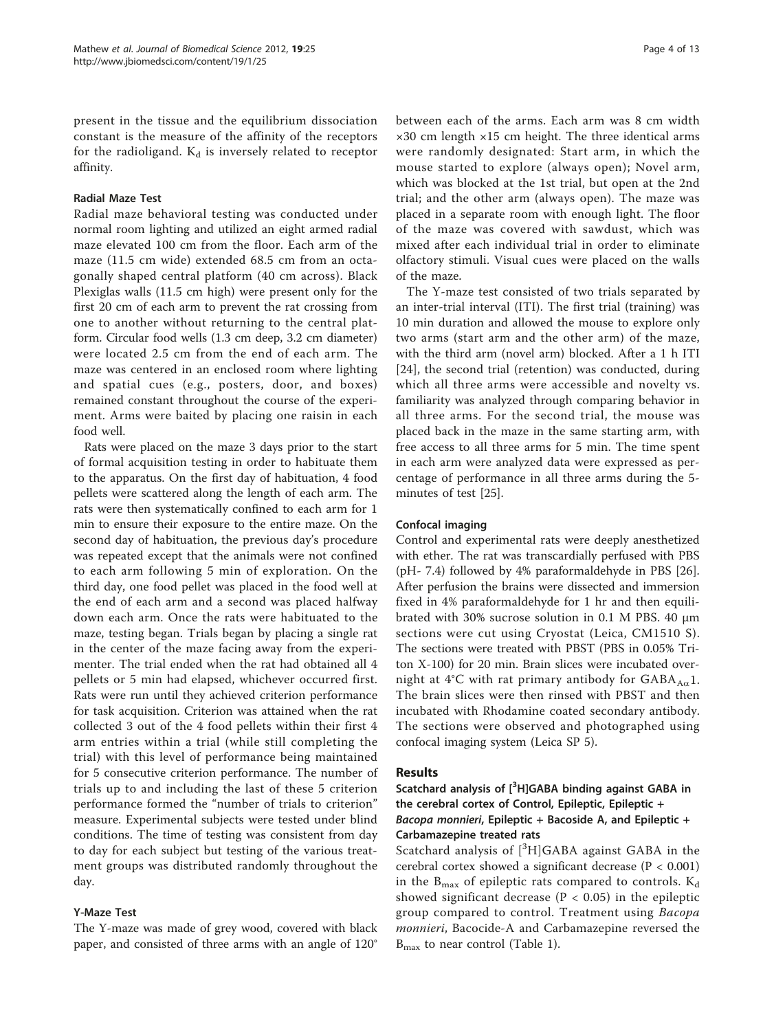present in the tissue and the equilibrium dissociation constant is the measure of the affinity of the receptors for the radioligand.  $K_d$  is inversely related to receptor affinity.

## Radial Maze Test

Radial maze behavioral testing was conducted under normal room lighting and utilized an eight armed radial maze elevated 100 cm from the floor. Each arm of the maze (11.5 cm wide) extended 68.5 cm from an octagonally shaped central platform (40 cm across). Black Plexiglas walls (11.5 cm high) were present only for the first 20 cm of each arm to prevent the rat crossing from one to another without returning to the central platform. Circular food wells (1.3 cm deep, 3.2 cm diameter) were located 2.5 cm from the end of each arm. The maze was centered in an enclosed room where lighting and spatial cues (e.g., posters, door, and boxes) remained constant throughout the course of the experiment. Arms were baited by placing one raisin in each food well.

Rats were placed on the maze 3 days prior to the start of formal acquisition testing in order to habituate them to the apparatus. On the first day of habituation, 4 food pellets were scattered along the length of each arm. The rats were then systematically confined to each arm for 1 min to ensure their exposure to the entire maze. On the second day of habituation, the previous day's procedure was repeated except that the animals were not confined to each arm following 5 min of exploration. On the third day, one food pellet was placed in the food well at the end of each arm and a second was placed halfway down each arm. Once the rats were habituated to the maze, testing began. Trials began by placing a single rat in the center of the maze facing away from the experimenter. The trial ended when the rat had obtained all 4 pellets or 5 min had elapsed, whichever occurred first. Rats were run until they achieved criterion performance for task acquisition. Criterion was attained when the rat collected 3 out of the 4 food pellets within their first 4 arm entries within a trial (while still completing the trial) with this level of performance being maintained for 5 consecutive criterion performance. The number of trials up to and including the last of these 5 criterion performance formed the "number of trials to criterion" measure. Experimental subjects were tested under blind conditions. The time of testing was consistent from day to day for each subject but testing of the various treatment groups was distributed randomly throughout the day.

# Y-Maze Test

The Y-maze was made of grey wood, covered with black paper, and consisted of three arms with an angle of 120° between each of the arms. Each arm was 8 cm width  $\times$ 30 cm length  $\times$ 15 cm height. The three identical arms were randomly designated: Start arm, in which the mouse started to explore (always open); Novel arm, which was blocked at the 1st trial, but open at the 2nd trial; and the other arm (always open). The maze was placed in a separate room with enough light. The floor of the maze was covered with sawdust, which was mixed after each individual trial in order to eliminate olfactory stimuli. Visual cues were placed on the walls of the maze.

The Y-maze test consisted of two trials separated by an inter-trial interval (ITI). The first trial (training) was 10 min duration and allowed the mouse to explore only two arms (start arm and the other arm) of the maze, with the third arm (novel arm) blocked. After a 1 h ITI [[24\]](#page-11-0), the second trial (retention) was conducted, during which all three arms were accessible and novelty vs. familiarity was analyzed through comparing behavior in all three arms. For the second trial, the mouse was placed back in the maze in the same starting arm, with free access to all three arms for 5 min. The time spent in each arm were analyzed data were expressed as percentage of performance in all three arms during the 5 minutes of test [[25](#page-11-0)].

# Confocal imaging

Control and experimental rats were deeply anesthetized with ether. The rat was transcardially perfused with PBS (pH- 7.4) followed by 4% paraformaldehyde in PBS [\[26](#page-11-0)]. After perfusion the brains were dissected and immersion fixed in 4% paraformaldehyde for 1 hr and then equilibrated with 30% sucrose solution in 0.1 M PBS. 40 μm sections were cut using Cryostat (Leica, CM1510 S). The sections were treated with PBST (PBS in 0.05% Triton X-100) for 20 min. Brain slices were incubated overnight at 4°C with rat primary antibody for  $GABA_{A\alpha}1$ . The brain slices were then rinsed with PBST and then incubated with Rhodamine coated secondary antibody. The sections were observed and photographed using confocal imaging system (Leica SP 5).

# Results

Scatchard analysis of  $[^3H]$ GABA binding against GABA in the cerebral cortex of Control, Epileptic, Epileptic + Bacopa monnieri, Epileptic + Bacoside A, and Epileptic + Carbamazepine treated rats

Scatchard analysis of  $[^{3}H]GABA$  against  $GABA$  in the cerebral cortex showed a significant decrease (P < 0.001) in the  $B_{\text{max}}$  of epileptic rats compared to controls.  $K_d$ showed significant decrease ( $P < 0.05$ ) in the epileptic group compared to control. Treatment using Bacopa monnieri, Bacocide-A and Carbamazepine reversed the  $B_{\text{max}}$  to near control (Table [1\)](#page-4-0).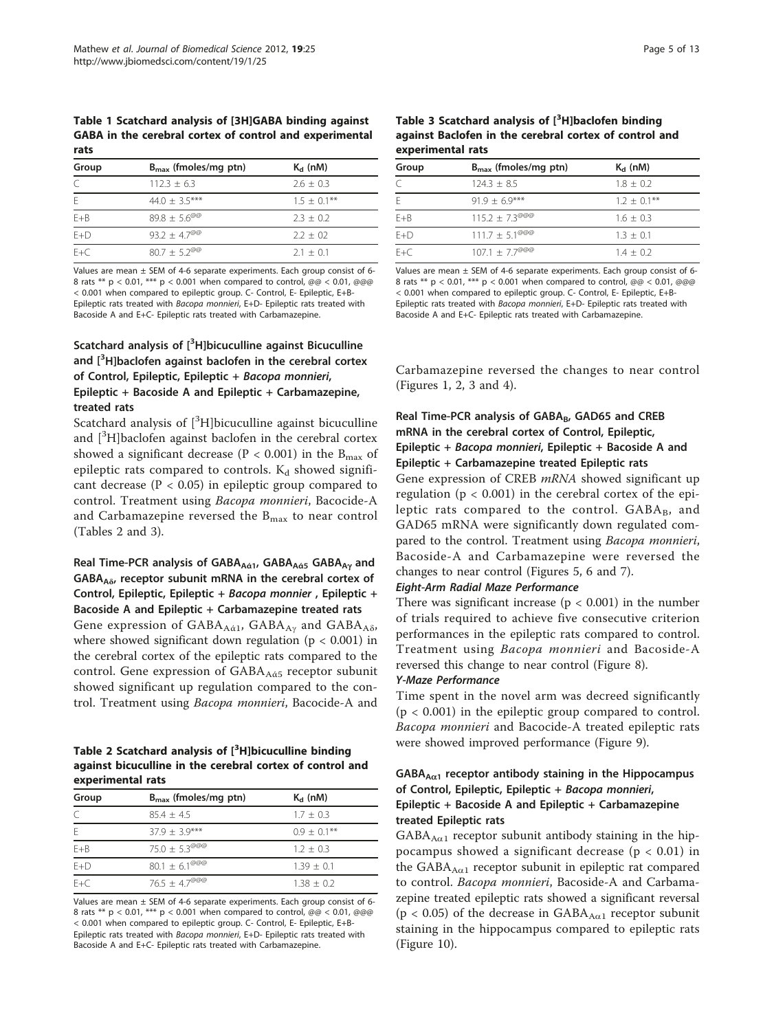<span id="page-4-0"></span>Table 1 Scatchard analysis of [3H]GABA binding against GABA in the cerebral cortex of control and experimental rats

| Group   | $B_{\text{max}}$ (fmoles/mg ptn) | $K_d$ (nM)     |
|---------|----------------------------------|----------------|
|         | $112.3 + 6.3$                    | $2.6 + 0.3$    |
|         | $44.0 + 3.5***$                  | $1.5 + 0.1***$ |
| $E + B$ | $89.8 \pm 5.6^{\text{QQ}}$       | $2.3 + 0.2$    |
| $E+D$   | $93.2 + 4.7^{\text{O}^\text{O}}$ | $2.2 + 0.2$    |
| $F + C$ | $80.7 + 5.2^{\text{QQ}}$         | $21 + 01$      |

Values are mean ± SEM of 4-6 separate experiments. Each group consist of 6- 8 rats \*\*  $p < 0.01$ , \*\*\*  $p < 0.001$  when compared to control, @@ < 0.01, @@@ < 0.001 when compared to epileptic group. C- Control, E- Epileptic, E+B-Epileptic rats treated with Bacopa monnieri, E+D- Epileptic rats treated with Bacoside A and E+C- Epileptic rats treated with Carbamazepine.

# Scatchard analysis of [<sup>3</sup>H]bicuculline against Bicuculline and [<sup>3</sup>H]baclofen against baclofen in the cerebral cortex of Control, Epileptic, Epileptic + Bacopa monnieri, Epileptic + Bacoside A and Epileptic + Carbamazepine, treated rats

Scatchard analysis of  $[^3H]$ bicuculline against bicuculline and [<sup>3</sup>H]baclofen against baclofen in the cerebral cortex showed a significant decrease ( $P < 0.001$ ) in the B<sub>max</sub> of epileptic rats compared to controls.  $K_d$  showed significant decrease ( $P < 0.05$ ) in epileptic group compared to control. Treatment using Bacopa monnieri, Bacocide-A and Carbamazepine reversed the  $B_{\text{max}}$  to near control (Tables 2 and 3).

Real Time-PCR analysis of GABA<sub>Aά1</sub>, GABA<sub>Aά5</sub> GABA<sub>Aγ</sub> and  $GABA_{A\delta}$ , receptor subunit mRNA in the cerebral cortex of Control, Epileptic, Epileptic + Bacopa monnier , Epileptic + Bacoside A and Epileptic + Carbamazepine treated rats Gene expression of GABA $_{A\alpha}$ , GABA $_{A\gamma}$  and GABA $_{A\delta}$ , where showed significant down regulation ( $p < 0.001$ ) in the cerebral cortex of the epileptic rats compared to the control. Gene expression of GABA<sub>Aά5</sub> receptor subunit showed significant up regulation compared to the control. Treatment using Bacopa monnieri, Bacocide-A and

Table 2 Scatchard analysis of [<sup>3</sup>H]bicuculline binding against bicuculline in the cerebral cortex of control and experimental rats

| Group   | $B_{\text{max}}$ (fmoles/mg ptn) | $K_d$ (nM)     |
|---------|----------------------------------|----------------|
|         | $854 + 45$                       | $1.7 + 0.3$    |
| F       | $379 + 39***$                    | $0.9 + 0.1***$ |
| $E + B$ | $75.0 + 5.3^{\textcircled{0}}$   | $1.2 + 0.3$    |
| $F+D$   | 80.1 $\pm$ 6.1 <sup>@@@</sup>    | $1.39 + 0.1$   |
| $F + C$ | $76.5 + 47^{\textcircled{0}}$    | $138 + 02$     |

Values are mean ± SEM of 4-6 separate experiments. Each group consist of 6- 8 rats \*\* p < 0.01, \*\*\* p < 0.001 when compared to control, @@ < 0.01, @@@ < 0.001 when compared to epileptic group. C- Control, E- Epileptic, E+B-Epileptic rats treated with Bacopa monnieri, E+D- Epileptic rats treated with Bacoside A and E+C- Epileptic rats treated with Carbamazepine.

Table 3 Scatchard analysis of  $[^3$ H]baclofen binding against Baclofen in the cerebral cortex of control and experimental rats

| Group   | $B_{\text{max}}$ (fmoles/mg ptn)    | $K_d$ (nM)     |
|---------|-------------------------------------|----------------|
|         | $124.3 + 8.5$                       | $1.8 + 0.2$    |
| F       | $91.9 + 6.9***$                     | $1.2 + 0.1***$ |
| $E + B$ | $115.2 + 7.3^{\text{0}}^{\text{0}}$ | $1.6 + 0.3$    |
| $E+D$   | $111.7 + 5.1^{\text{QQ}}$           | $1.3 + 0.1$    |
| $F + C$ | $107.1 \pm 7.7^{\text{QQQ}}$        | $1.4 + 0.2$    |

Values are mean  $\pm$  SEM of 4-6 separate experiments. Each group consist of 6-8 rats \*\*  $p < 0.01$ , \*\*\*  $p < 0.001$  when compared to control, @@ < 0.01, @@@ < 0.001 when compared to epileptic group. C- Control, E- Epileptic, E+B-Epileptic rats treated with Bacopa monnieri, E+D- Epileptic rats treated with Bacoside A and E+C- Epileptic rats treated with Carbamazepine.

Carbamazepine reversed the changes to near control (Figures [1](#page-5-0), [2,](#page-5-0) [3](#page-6-0) and [4](#page-6-0)).

# Real Time-PCR analysis of GABA<sub>B</sub>, GAD65 and CREB mRNA in the cerebral cortex of Control, Epileptic, Epileptic + Bacopa monnieri, Epileptic + Bacoside A and Epileptic + Carbamazepine treated Epileptic rats

Gene expression of CREB *mRNA* showed significant up regulation ( $p < 0.001$ ) in the cerebral cortex of the epileptic rats compared to the control.  $GABA_B$ , and GAD65 mRNA were significantly down regulated compared to the control. Treatment using Bacopa monnieri, Bacoside-A and Carbamazepine were reversed the changes to near control (Figures [5, 6](#page-7-0) and [7\)](#page-8-0).

# Eight-Arm Radial Maze Performance

There was significant increase ( $p < 0.001$ ) in the number of trials required to achieve five consecutive criterion performances in the epileptic rats compared to control. Treatment using Bacopa monnieri and Bacoside-A reversed this change to near control (Figure [8\)](#page-8-0).

## Y-Maze Performance

Time spent in the novel arm was decreed significantly  $(p < 0.001)$  in the epileptic group compared to control. Bacopa monnieri and Bacocide-A treated epileptic rats were showed improved performance (Figure [9](#page-9-0)).

# $GABA_{A\alpha1}$  receptor antibody staining in the Hippocampus of Control, Epileptic, Epileptic + Bacopa monnieri, Epileptic + Bacoside A and Epileptic + Carbamazepine treated Epileptic rats

 $GABA_{A\alpha 1}$  receptor subunit antibody staining in the hippocampus showed a significant decrease ( $p < 0.01$ ) in the  $GABA_{A\alpha 1}$  receptor subunit in epileptic rat compared to control. Bacopa monnieri, Bacoside-A and Carbamazepine treated epileptic rats showed a significant reversal ( $p < 0.05$ ) of the decrease in  $GABA_{A\alpha 1}$  receptor subunit staining in the hippocampus compared to epileptic rats (Figure [10\)](#page-9-0).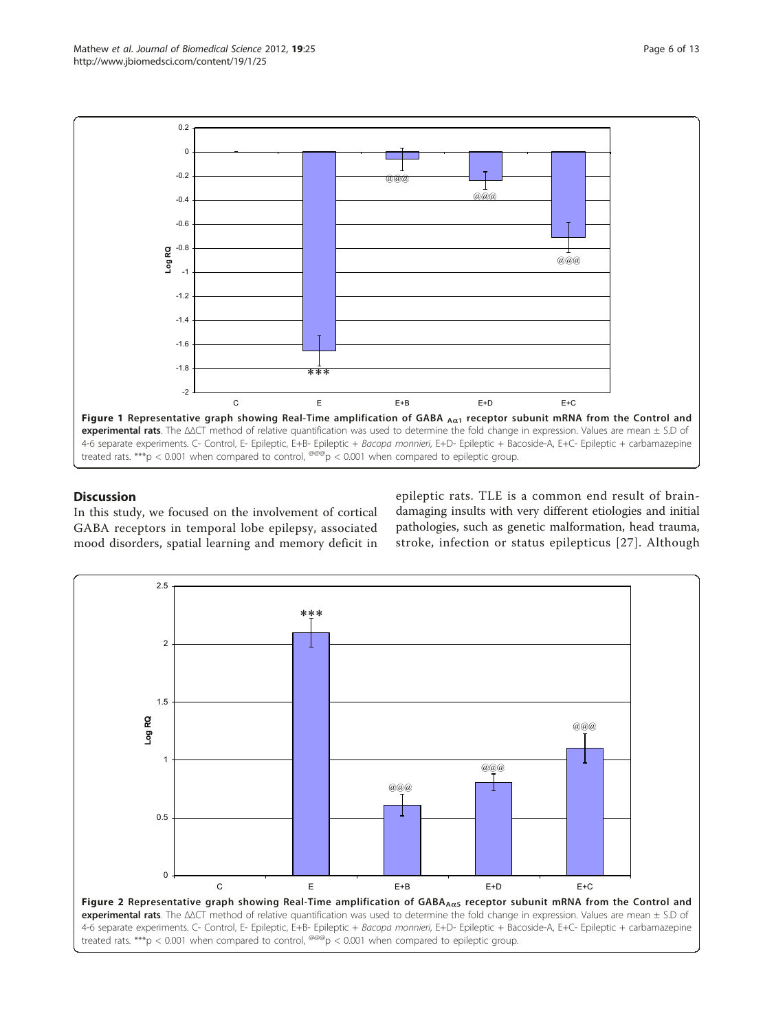<span id="page-5-0"></span>

# **Discussion**

In this study, we focused on the involvement of cortical GABA receptors in temporal lobe epilepsy, associated mood disorders, spatial learning and memory deficit in epileptic rats. TLE is a common end result of braindamaging insults with very different etiologies and initial pathologies, such as genetic malformation, head trauma, stroke, infection or status epilepticus [[27](#page-11-0)]. Although

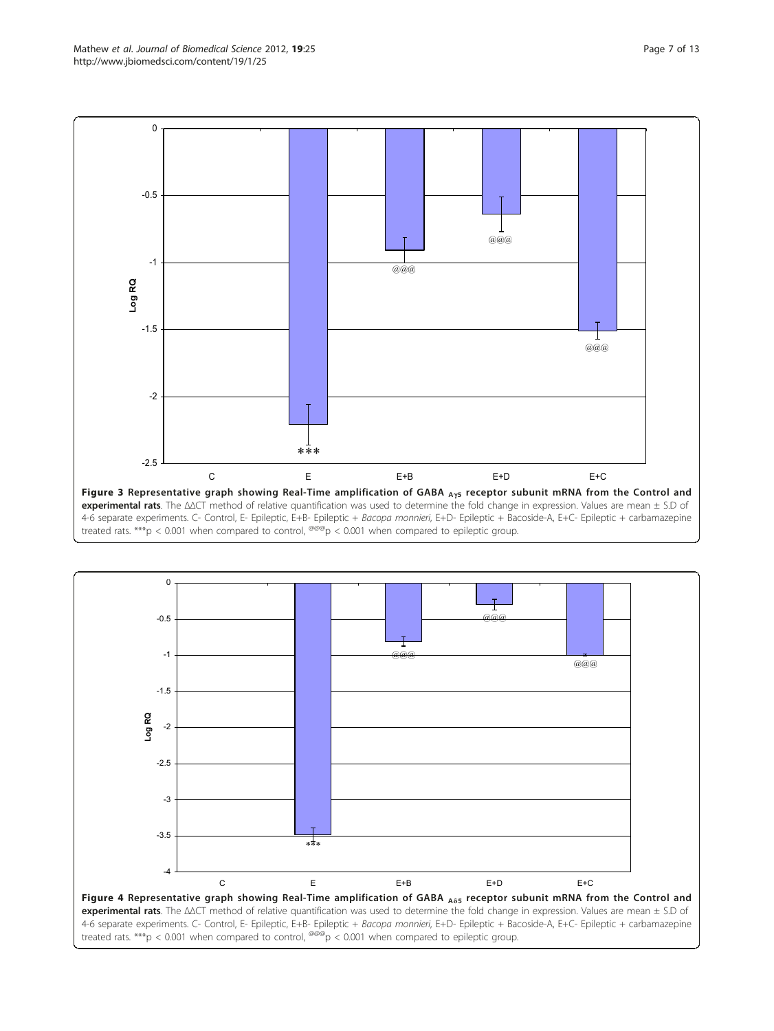<span id="page-6-0"></span>



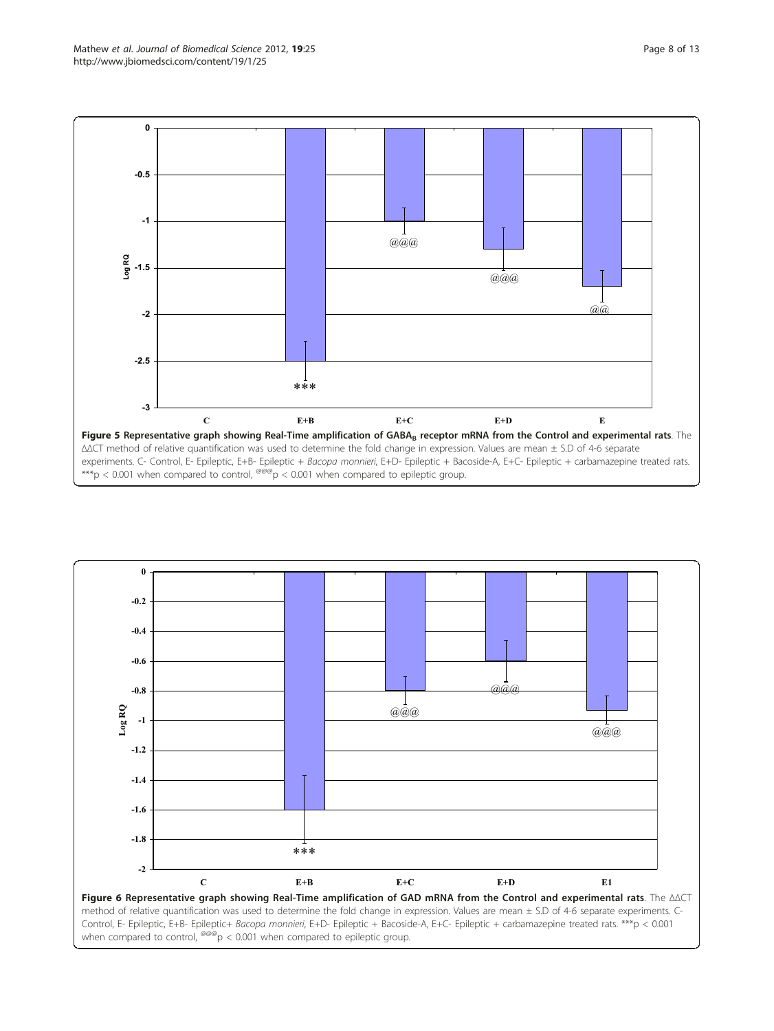<span id="page-7-0"></span>

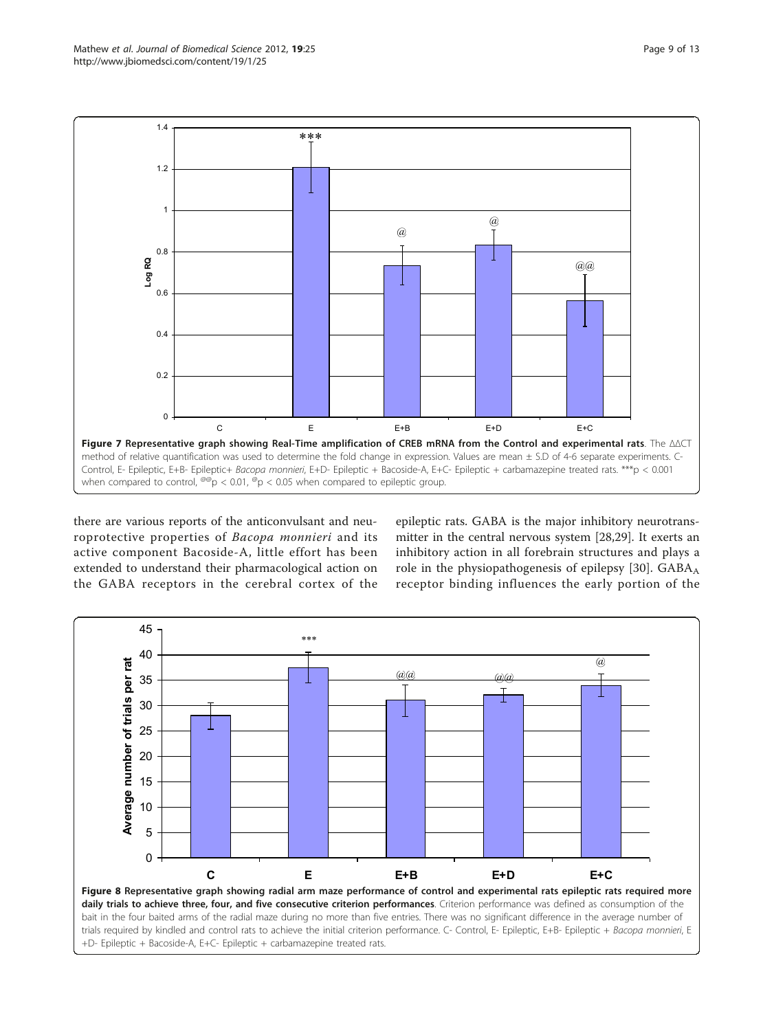<span id="page-8-0"></span>

there are various reports of the anticonvulsant and neuroprotective properties of Bacopa monnieri and its active component Bacoside-A, little effort has been extended to understand their pharmacological action on the GABA receptors in the cerebral cortex of the epileptic rats. GABA is the major inhibitory neurotransmitter in the central nervous system [\[28,29\]](#page-11-0). It exerts an inhibitory action in all forebrain structures and plays a role in the physiopathogenesis of epilepsy [\[30](#page-11-0)].  $GABA_A$ receptor binding influences the early portion of the

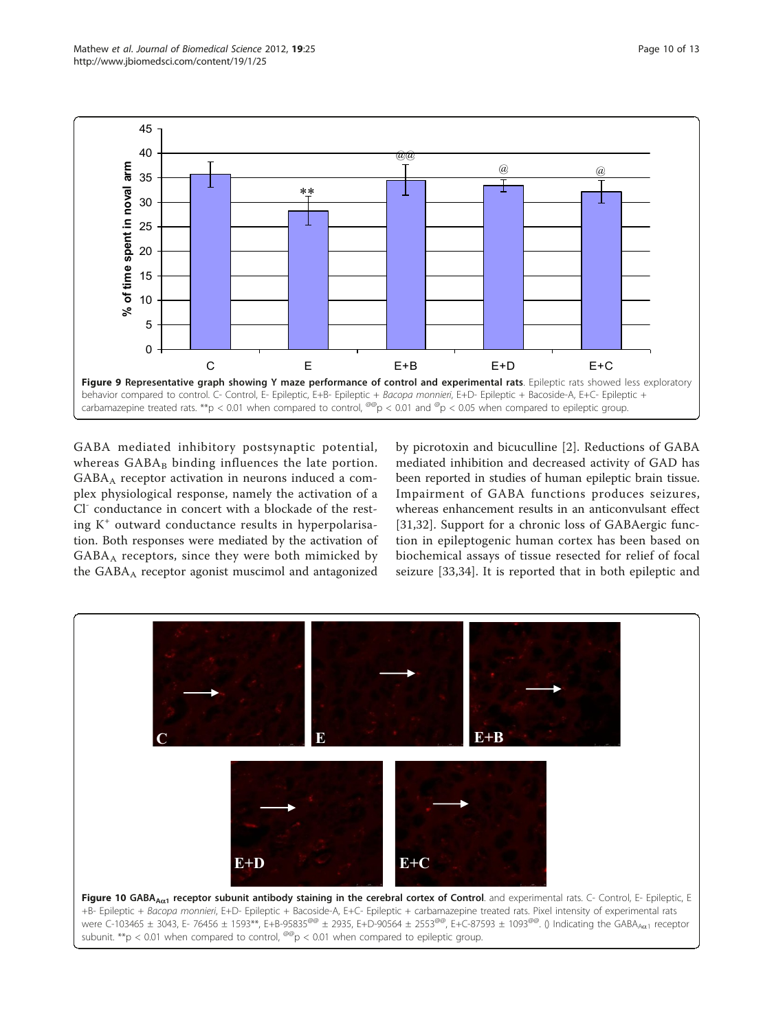<span id="page-9-0"></span>

GABA mediated inhibitory postsynaptic potential, whereas  $GABA_B$  binding influences the late portion.  $GABA_A$  receptor activation in neurons induced a complex physiological response, namely the activation of a Cl<sup>-</sup> conductance in concert with a blockade of the resting  $K^+$  outward conductance results in hyperpolarisation. Both responses were mediated by the activation of  $GABA_A$  receptors, since they were both mimicked by the GABA<sub>A</sub> receptor agonist muscimol and antagonized

by picrotoxin and bicuculline [[2\]](#page-11-0). Reductions of GABA mediated inhibition and decreased activity of GAD has been reported in studies of human epileptic brain tissue. Impairment of GABA functions produces seizures, whereas enhancement results in an anticonvulsant effect [[31,32](#page-12-0)]. Support for a chronic loss of GABAergic function in epileptogenic human cortex has been based on biochemical assays of tissue resected for relief of focal seizure [\[33,34\]](#page-12-0). It is reported that in both epileptic and

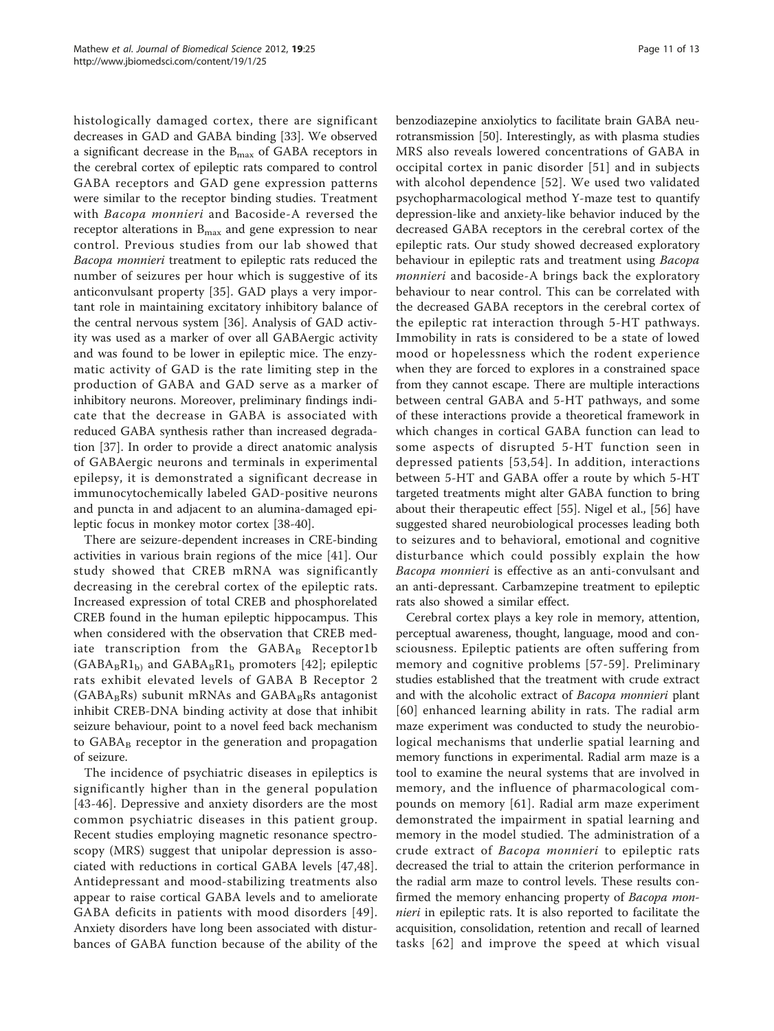histologically damaged cortex, there are significant decreases in GAD and GABA binding [[33\]](#page-12-0). We observed a significant decrease in the  $B_{\text{max}}$  of GABA receptors in the cerebral cortex of epileptic rats compared to control GABA receptors and GAD gene expression patterns were similar to the receptor binding studies. Treatment with Bacopa monnieri and Bacoside-A reversed the receptor alterations in  $B_{\text{max}}$  and gene expression to near control. Previous studies from our lab showed that Bacopa monnieri treatment to epileptic rats reduced the number of seizures per hour which is suggestive of its anticonvulsant property [[35](#page-12-0)]. GAD plays a very important role in maintaining excitatory inhibitory balance of the central nervous system [\[36](#page-12-0)]. Analysis of GAD activity was used as a marker of over all GABAergic activity and was found to be lower in epileptic mice. The enzymatic activity of GAD is the rate limiting step in the production of GABA and GAD serve as a marker of inhibitory neurons. Moreover, preliminary findings indicate that the decrease in GABA is associated with reduced GABA synthesis rather than increased degradation [[37\]](#page-12-0). In order to provide a direct anatomic analysis of GABAergic neurons and terminals in experimental epilepsy, it is demonstrated a significant decrease in immunocytochemically labeled GAD-positive neurons and puncta in and adjacent to an alumina-damaged epileptic focus in monkey motor cortex [[38](#page-12-0)-[40\]](#page-12-0).

There are seizure-dependent increases in CRE-binding activities in various brain regions of the mice [[41\]](#page-12-0). Our study showed that CREB mRNA was significantly decreasing in the cerebral cortex of the epileptic rats. Increased expression of total CREB and phosphorelated CREB found in the human epileptic hippocampus. This when considered with the observation that CREB mediate transcription from the  $GABA_B$  Receptor1b  $(GABA_BR1_b)$  and  $GABA_BR1_b$  promoters [[42](#page-12-0)]; epileptic rats exhibit elevated levels of GABA B Receptor 2  $(GABA_BRs)$  subunit mRNAs and  $GABA_BRs$  antagonist inhibit CREB-DNA binding activity at dose that inhibit seizure behaviour, point to a novel feed back mechanism to  $GABA_B$  receptor in the generation and propagation of seizure.

The incidence of psychiatric diseases in epileptics is significantly higher than in the general population [[43](#page-12-0)-[46\]](#page-12-0). Depressive and anxiety disorders are the most common psychiatric diseases in this patient group. Recent studies employing magnetic resonance spectroscopy (MRS) suggest that unipolar depression is associated with reductions in cortical GABA levels [[47,48](#page-12-0)]. Antidepressant and mood-stabilizing treatments also appear to raise cortical GABA levels and to ameliorate GABA deficits in patients with mood disorders [[49\]](#page-12-0). Anxiety disorders have long been associated with disturbances of GABA function because of the ability of the benzodiazepine anxiolytics to facilitate brain GABA neurotransmission [[50](#page-12-0)]. Interestingly, as with plasma studies MRS also reveals lowered concentrations of GABA in occipital cortex in panic disorder [[51](#page-12-0)] and in subjects with alcohol dependence [[52](#page-12-0)]. We used two validated psychopharmacological method Y-maze test to quantify depression-like and anxiety-like behavior induced by the decreased GABA receptors in the cerebral cortex of the epileptic rats. Our study showed decreased exploratory behaviour in epileptic rats and treatment using Bacopa monnieri and bacoside-A brings back the exploratory behaviour to near control. This can be correlated with the decreased GABA receptors in the cerebral cortex of the epileptic rat interaction through 5-HT pathways. Immobility in rats is considered to be a state of lowed mood or hopelessness which the rodent experience when they are forced to explores in a constrained space from they cannot escape. There are multiple interactions between central GABA and 5-HT pathways, and some of these interactions provide a theoretical framework in which changes in cortical GABA function can lead to some aspects of disrupted 5-HT function seen in depressed patients [[53,54](#page-12-0)]. In addition, interactions between 5-HT and GABA offer a route by which 5-HT targeted treatments might alter GABA function to bring about their therapeutic effect [[55](#page-12-0)]. Nigel et al., [[56\]](#page-12-0) have suggested shared neurobiological processes leading both to seizures and to behavioral, emotional and cognitive disturbance which could possibly explain the how Bacopa monnieri is effective as an anti-convulsant and an anti-depressant. Carbamzepine treatment to epileptic rats also showed a similar effect.

Cerebral cortex plays a key role in memory, attention, perceptual awareness, thought, language, mood and consciousness. Epileptic patients are often suffering from memory and cognitive problems [[57](#page-12-0)-[59\]](#page-12-0). Preliminary studies established that the treatment with crude extract and with the alcoholic extract of Bacopa monnieri plant [[60\]](#page-12-0) enhanced learning ability in rats. The radial arm maze experiment was conducted to study the neurobiological mechanisms that underlie spatial learning and memory functions in experimental. Radial arm maze is a tool to examine the neural systems that are involved in memory, and the influence of pharmacological compounds on memory [[61\]](#page-12-0). Radial arm maze experiment demonstrated the impairment in spatial learning and memory in the model studied. The administration of a crude extract of Bacopa monnieri to epileptic rats decreased the trial to attain the criterion performance in the radial arm maze to control levels. These results confirmed the memory enhancing property of Bacopa mon*nieri* in epileptic rats. It is also reported to facilitate the acquisition, consolidation, retention and recall of learned tasks [[62](#page-12-0)] and improve the speed at which visual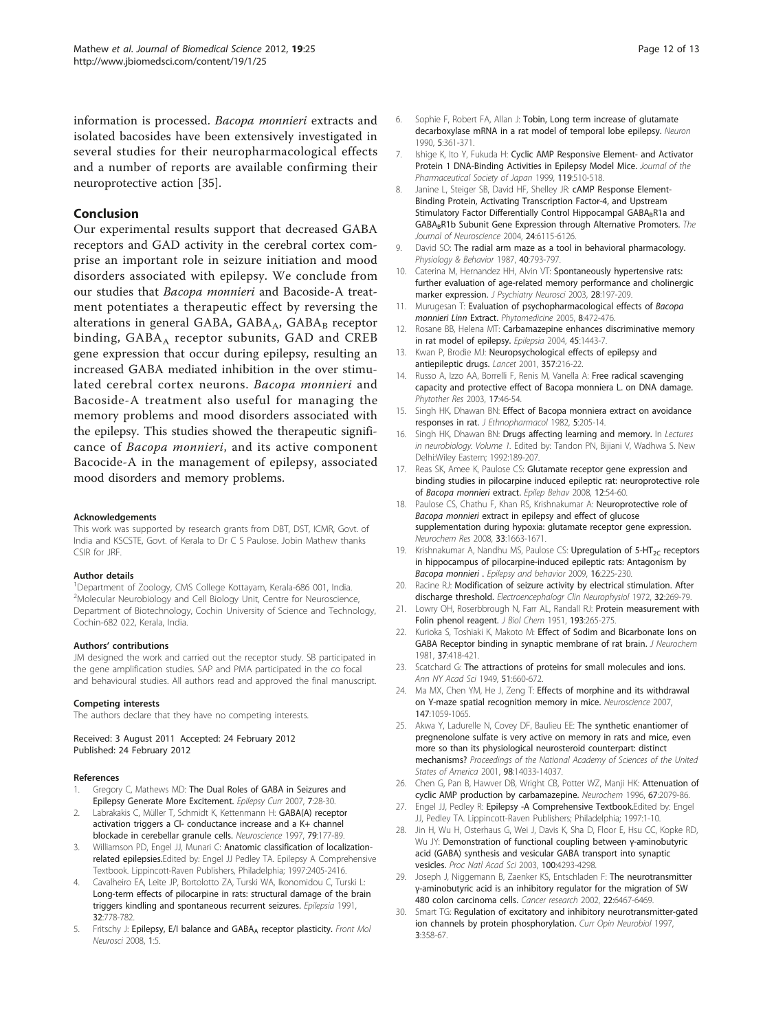<span id="page-11-0"></span>information is processed. Bacopa monnieri extracts and isolated bacosides have been extensively investigated in several studies for their neuropharmacological effects and a number of reports are available confirming their neuroprotective action [\[35](#page-12-0)].

## Conclusion

Our experimental results support that decreased GABA receptors and GAD activity in the cerebral cortex comprise an important role in seizure initiation and mood disorders associated with epilepsy. We conclude from our studies that Bacopa monnieri and Bacoside-A treatment potentiates a therapeutic effect by reversing the alterations in general GABA, GABAA, GABAB receptor binding,  $GABA_A$  receptor subunits,  $GAD$  and  $CREB$ gene expression that occur during epilepsy, resulting an increased GABA mediated inhibition in the over stimulated cerebral cortex neurons. Bacopa monnieri and Bacoside-A treatment also useful for managing the memory problems and mood disorders associated with the epilepsy. This studies showed the therapeutic significance of Bacopa monnieri, and its active component Bacocide-A in the management of epilepsy, associated mood disorders and memory problems.

#### Acknowledgements

This work was supported by research grants from DBT, DST, ICMR, Govt. of India and KSCSTE, Govt. of Kerala to Dr C S Paulose. Jobin Mathew thanks CSIR for JRF.

#### Author details

<sup>1</sup>Department of Zoology, CMS College Kottayam, Kerala-686 001, India. <sup>2</sup>Molecular Neurobiology and Cell Biology Unit, Centre for Neuroscience, Department of Biotechnology, Cochin University of Science and Technology, Cochin-682 022, Kerala, India.

#### Authors' contributions

JM designed the work and carried out the receptor study. SB participated in the gene amplification studies. SAP and PMA participated in the co focal and behavioural studies. All authors read and approved the final manuscript.

#### Competing interests

The authors declare that they have no competing interests.

Received: 3 August 2011 Accepted: 24 February 2012 Published: 24 February 2012

#### References

- Gregory C, Mathews MD: [The Dual Roles of GABA in Seizures and](http://www.ncbi.nlm.nih.gov/pubmed/17304349?dopt=Abstract) [Epilepsy Generate More Excitement.](http://www.ncbi.nlm.nih.gov/pubmed/17304349?dopt=Abstract) Epilepsy Curr 2007, 7:28-30.
- 2. Labrakakis C, Müller T, Schmidt K, Kettenmann H: [GABA\(A\) receptor](http://www.ncbi.nlm.nih.gov/pubmed/9178874?dopt=Abstract) [activation triggers a Cl- conductance increase and a K+ channel](http://www.ncbi.nlm.nih.gov/pubmed/9178874?dopt=Abstract) [blockade in cerebellar granule cells.](http://www.ncbi.nlm.nih.gov/pubmed/9178874?dopt=Abstract) Neuroscience 1997, 79:177-89.
- 3. Williamson PD, Engel JJ, Munari C: Anatomic classification of localizationrelated epilepsies.Edited by: Engel JJ Pedley TA. Epilepsy A Comprehensive Textbook. Lippincott-Raven Publishers, Philadelphia; 1997:2405-2416.
- 4. Cavalheiro EA, Leite JP, Bortolotto ZA, Turski WA, Ikonomidou C, Turski L: [Long-term effects of pilocarpine in rats: structural damage of the brain](http://www.ncbi.nlm.nih.gov/pubmed/1743148?dopt=Abstract) [triggers kindling and spontaneous recurrent seizures.](http://www.ncbi.nlm.nih.gov/pubmed/1743148?dopt=Abstract) Epilepsia 1991, 32:778-782.
- Fritschy J: [Epilepsy, E/I balance and GABAA](http://www.ncbi.nlm.nih.gov/pubmed/18946538?dopt=Abstract) [receptor plasticity.](http://www.ncbi.nlm.nih.gov/pubmed/18946538?dopt=Abstract) Front Mol Neurosci 2008, 1:5.
- 6. Sophie F, Robert FA, Allan J: [Tobin, Long term increase of glutamate](http://www.ncbi.nlm.nih.gov/pubmed/1976015?dopt=Abstract) [decarboxylase mRNA in a rat model of temporal lobe epilepsy.](http://www.ncbi.nlm.nih.gov/pubmed/1976015?dopt=Abstract) Neuron 1990, 5:361-371.
- 7. Ishige K, Ito Y, Fukuda H: [Cyclic AMP Responsive Element- and Activator](http://www.ncbi.nlm.nih.gov/pubmed/10434803?dopt=Abstract) [Protein 1 DNA-Binding Activities in Epilepsy Model Mice.](http://www.ncbi.nlm.nih.gov/pubmed/10434803?dopt=Abstract) Journal of the Pharmaceutical Society of Japan 1999, 119:510-518.
- 8. Janine L, Steiger SB, David HF, Shelley JR: **[cAMP Response Element-](http://www.ncbi.nlm.nih.gov/pubmed/15240803?dopt=Abstract)**[Binding Protein, Activating Transcription Factor-4, and Upstream](http://www.ncbi.nlm.nih.gov/pubmed/15240803?dopt=Abstract) [Stimulatory Factor Differentially Control Hippocampal GABABR1a and](http://www.ncbi.nlm.nih.gov/pubmed/15240803?dopt=Abstract) GABA<sub>B</sub>R1b Subunit Gene Expression through Alternative Promoters. The Journal of Neuroscience 2004, 24:6115-6126.
- 9. David SO: [The radial arm maze as a tool in behavioral pharmacology.](http://www.ncbi.nlm.nih.gov/pubmed/22359681?dopt=Abstract) Physiology & Behavior 1987, 40:793-797.
- 10. Caterina M, Hernandez HH, Alvin VT: [Spontaneously hypertensive rats:](http://www.ncbi.nlm.nih.gov/pubmed/12790160?dopt=Abstract) [further evaluation of age-related memory performance and cholinergic](http://www.ncbi.nlm.nih.gov/pubmed/12790160?dopt=Abstract) [marker expression.](http://www.ncbi.nlm.nih.gov/pubmed/12790160?dopt=Abstract) J Psychiatry Neurosci 2003, 28:197-209.
- 11. Murugesan T: Evaluation of psychopharmacological effects of Bacopa monnieri Linn Extract. Phytomedicine 2005, 8:472-476.
- 12. Rosane BB, Helena MT: [Carbamazepine enhances discriminative memory](http://www.ncbi.nlm.nih.gov/pubmed/15509245?dopt=Abstract) [in rat model of epilepsy.](http://www.ncbi.nlm.nih.gov/pubmed/15509245?dopt=Abstract) Epilepsia 2004, 45:1443-7.
- 13. Kwan P, Brodie MJ: [Neuropsychological effects of epilepsy and](http://www.ncbi.nlm.nih.gov/pubmed/11213111?dopt=Abstract) [antiepileptic drugs.](http://www.ncbi.nlm.nih.gov/pubmed/11213111?dopt=Abstract) Lancet 2001, 357:216-22.
- 14. Russo A, Izzo AA, Borrelli F, Renis M, Vanella A: Free radical scavenging capacity and protective effect of Bacopa monniera L. on DNA damage. Phytother Res 2003, 17:46-54.
- 15. Singh HK, Dhawan BN: [Effect of Bacopa monniera extract on avoidance](http://www.ncbi.nlm.nih.gov/pubmed/7057659?dopt=Abstract) [responses in rat.](http://www.ncbi.nlm.nih.gov/pubmed/7057659?dopt=Abstract) J Ethnopharmacol 1982, 5:205-14.
- 16. Singh HK, Dhawan BN: Drugs affecting learning and memory. In Lectures in neurobiology. Volume 1. Edited by: Tandon PN, Bijiani V, Wadhwa S. New Delhi:Wiley Eastern; 1992:189-207.
- 17. Reas SK, Amee K, Paulose CS: Glutamate receptor gene expression and binding studies in pilocarpine induced epileptic rat: neuroprotective role of Bacopa monnieri extract. Epilep Behav 2008, 12:54-60.
- 18. Paulose CS, Chathu F, Khan RS, Krishnakumar A: [Neuroprotective role of](http://www.ncbi.nlm.nih.gov/pubmed/17940877?dopt=Abstract) Bacopa monnieri [extract in epilepsy and effect of glucose](http://www.ncbi.nlm.nih.gov/pubmed/17940877?dopt=Abstract) [supplementation during hypoxia: glutamate receptor gene expression.](http://www.ncbi.nlm.nih.gov/pubmed/17940877?dopt=Abstract) Neurochem Res 2008, 33:1663-1671.
- 19. Krishnakumar A, Nandhu MS, Paulose CS: Upregulation of  $5-HT_{2C}$  [receptors](http://www.ncbi.nlm.nih.gov/pubmed/19700373?dopt=Abstract) [in hippocampus of pilocarpine-induced epileptic rats: Antagonism by](http://www.ncbi.nlm.nih.gov/pubmed/19700373?dopt=Abstract) [Bacopa monnieri](http://www.ncbi.nlm.nih.gov/pubmed/19700373?dopt=Abstract) . Epilepsy and behavior 2009, 16:225-230.
- 20. Racine RJ: [Modification of seizure activity by electrical stimulation. After](http://www.ncbi.nlm.nih.gov/pubmed/4110396?dopt=Abstract) [discharge threshold.](http://www.ncbi.nlm.nih.gov/pubmed/4110396?dopt=Abstract) Electroencephalogr Clin Neurophysiol 1972, 32:269-79.
- 21. Lowry OH, Roserbbrough N, Farr AL, Randall RJ: [Protein measurement with](http://www.ncbi.nlm.nih.gov/pubmed/14907713?dopt=Abstract) [Folin phenol reagent.](http://www.ncbi.nlm.nih.gov/pubmed/14907713?dopt=Abstract) J Biol Chem 1951, 193:265-275.
- 22. Kurioka S, Toshiaki K, Makoto M: Effect of Sodim and Bicarbonate lons on [GABA Receptor binding in synaptic membrane of rat brain.](http://www.ncbi.nlm.nih.gov/pubmed/6267202?dopt=Abstract) J Neurochem 1981, 37:418-421.
- 23. Scatchard G: The attractions of proteins for small molecules and ions. Ann NY Acad Sci 1949, 51:660-672
- 24. Ma MX, Chen YM, He J, Zeng T: [Effects of morphine and its withdrawal](http://www.ncbi.nlm.nih.gov/pubmed/17601672?dopt=Abstract) [on Y-maze spatial recognition memory in mice.](http://www.ncbi.nlm.nih.gov/pubmed/17601672?dopt=Abstract) Neuroscience 2007, 147:1059-1065.
- 25. Akwa Y, Ladurelle N, Covey DF, Baulieu EE: [The synthetic enantiomer of](http://www.ncbi.nlm.nih.gov/pubmed/11717462?dopt=Abstract) [pregnenolone sulfate is very active on memory in rats and mice, even](http://www.ncbi.nlm.nih.gov/pubmed/11717462?dopt=Abstract) [more so than its physiological neurosteroid counterpart: distinct](http://www.ncbi.nlm.nih.gov/pubmed/11717462?dopt=Abstract) [mechanisms?](http://www.ncbi.nlm.nih.gov/pubmed/11717462?dopt=Abstract) Proceedings of the National Academy of Sciences of the United States of America 2001, 98:14033-14037.
- 26. Chen G, Pan B, Hawver DB, Wright CB, Potter WZ, Manji HK: Attenuation of cyclic AMP production by carbamazepine. Neurochem 1996, 67:2079-86.
- 27. Engel JJ, Pedley R: Epilepsy -A Comprehensive Textbook.Edited by: Engel JJ, Pedley TA. Lippincott-Raven Publishers; Philadelphia; 1997:1-10.
- 28. Jin H, Wu H, Osterhaus G, Wei J, Davis K, Sha D, Floor E, Hsu CC, Kopke RD, Wu JY: [Demonstration of functional coupling between](http://www.ncbi.nlm.nih.gov/pubmed/12634427?dopt=Abstract) γ-aminobutyric [acid \(GABA\) synthesis and vesicular GABA transport into synaptic](http://www.ncbi.nlm.nih.gov/pubmed/12634427?dopt=Abstract) [vesicles.](http://www.ncbi.nlm.nih.gov/pubmed/12634427?dopt=Abstract) Proc Natl Acad Sci 2003, 100:4293-4298.
- 29. Joseph J, Niggemann B, Zaenker KS, Entschladen F: The neurotransmitter γ-aminobutyric acid is an inhibitory regulator for the migration of SW 480 colon carcinoma cells. Cancer research 2002, 22:6467-6469
- 30. Smart TG: Regulation of excitatory and inhibitory neurotransmitter-gated ion channels by protein phosphorylation. Curr Opin Neurobiol 1997, 3:358-67.